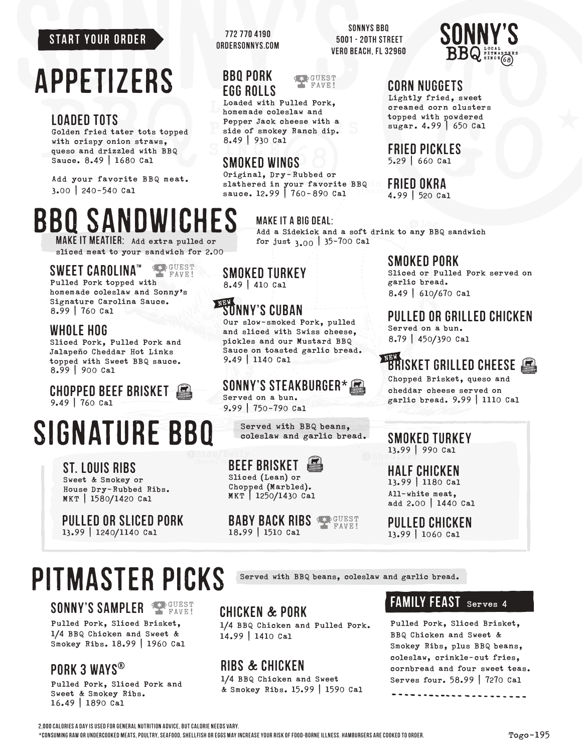#### START YOUR ORDER

## appetizers

## LOADED TOTS

Golden fried tater tots topped with crispy onion straws, queso and drizzled with BBQ Sauce. 8.49 | 1680 Cal

Add your favorite BBQ meat. 3.00 | 240-540 Cal

## BBQ SANDWICHES

Make it MEATIER: Add extra pulled or sliced meat to your sandwich for 2.00

#### SEP GUEST SWEET CAROLINA™

Pulled Pork topped with homemade coleslaw and Sonny's Signature Carolina Sauce. 8.99 | 760 Cal

### whole hog

Sliced Pork, Pulled Pork and Jalapeño Cheddar Hot Links topped with Sweet BBQ sauce. 8.99 | 900 Cal

CHOPPED Beef Brisket 9.49 | 760 Cal

## SIGNATURE BBQ Served with BBQ beans,

ST. LOUIS RIBS Sweet & Smokey or House Dry-Rubbed Ribs. MKT | 1580/1420 Cal

Pulled or Sliced Pork 13.99 | 1240/1140 Cal

## PITMASTER PICKS Served with BBQ beans, coleslaw and garlic bread.

## SONNY'S SAMPLER

Pulled Pork, Sliced Brisket, 1/4 BBQ Chicken and Sweet & Smokey Ribs. 18.99 | 1960 Cal

## PORK 3 WAYS®

Pulled Pork, Sliced Pork and Sweet & Smokey Ribs. 16.49 | 1890 Cal

772 770 4190 OrderSonnys.com

> BBQ Pork EGG ROLLS

SONNYS BBQ 5001 - 20th Street Vero Beach, FL 32960



### CORN NUGGETS

Lightly fried, sweet creamed corn clusters topped with powdered sugar. 4.99 | 650 Cal

Fried Pickles

5.29 | 660 Cal

## Fried Okra

4.99 | 520 Cal

Add a Sidekick and a soft drink to any BBQ sandwich for just  $3.00 \mid 35 - 700$  Cal

### Smoked Pork

Sliced or Pulled Pork served on garlic bread. 8.49 | 610/670 Cal

## Pulled or Grilled Chicken

Served on a bun. 8.79 | 450/390 Cal

## $\overline{\mathtt{BR}}$ isket Grilled Cheese  $\Box$

Chopped Brisket, queso and cheddar cheese served on garlic bread. 9.99 | 1110 Cal

SMOKED TURKEY 13.99 | 990 Cal

HALF CHICKEN 13.99 | 1180 Cal All-white meat, add 2.00 | 1440 Cal

PULLED CHICKEN 13.99 | 1060 Cal

### CHICKEN & PORK

1/4 BBQ Chicken and Pulled Pork. 14.99 | 1410 Cal

## RIBS & CHICKEN

1/4 BBQ Chicken and Sweet & Smokey Ribs. 15.99 | 1590 Cal

### FAMILY FEAST Serves 4

Pulled Pork, Sliced Brisket, BBQ Chicken and Sweet & Smokey Ribs, plus BBQ beans, coleslaw, crinkle-cut fries, cornbread and four sweet teas. Serves four. 58.99 | 7270 Cal

--------------

2,000 calories a day is used for general nutrition advice, but calorie needs vary.

\*Consuming raw or undercooked meats, poultry, seafood, shellfish or eggs may increase your risk of food-borne illness. Hamburgers are cooked to order.

Smoked TURKEY 8.49 | 410 Cal

## SONNY'S CUBAN

SMOKED WINGS

8.49 | 930 Cal

Original, Dry-Rubbed or

Loaded with Pulled Pork, homemade coleslaw and Pepper Jack cheese with a side of smokey Ranch dip.

Our slow-smoked Pork, pulled and sliced with Swiss cheese, pickles and our Mustard BBQ Sauce on toasted garlic bread. 9.49 | 1140 Cal

Make it a Big Deal:

slathered in your favorite BBQ sauce. 12.99 | 760-890 Cal

**SEP GUEST** FAVE!

SONNY'S STEAKBURGER\*

coleslaw and garlic bread.

## BEEF BRISKET

Sliced (Lean) or Chopped (Marbled). MKT | 1250/1430 Cal

#### **BABY BACK RIBS SEP GUEST** FAVE! 18.99 | 1510 Cal

Served on a bun. 9.99 | 750-790 Cal